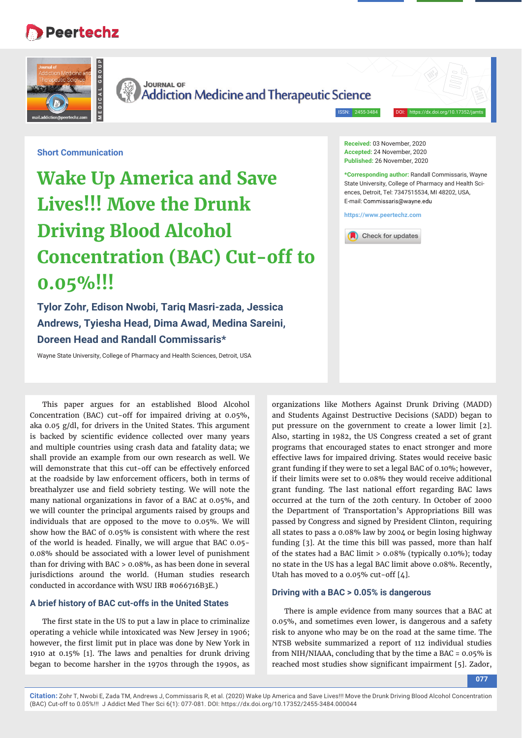# **Peertechz**



**JOURNAL OF Addiction Medicine and Therapeutic Science** 

ISSN: 2455-3484

**Short Communication**

# **Wake Up America and Save Lives!!! Move the Drunk Driving Blood Alcohol Concentration (BAC) Cut-off to 0.05%!!!**

**Tylor Zohr, Edison Nwobi, Tariq Masri-zada, Jessica Andrews, Tyiesha Head, Dima Awad, Medina Sareini, Doreen Head and Randall Commissaris\***

Wayne State University, College of Pharmacy and Health Sciences, Detroit, USA

This paper argues for an established Blood Alcohol Concentration (BAC) cut-off for impaired driving at 0.05%, aka 0.05 g/dl, for drivers in the United States. This argument is backed by scientific evidence collected over many years and multiple countries using crash data and fatality data; we shall provide an example from our own research as well. We will demonstrate that this cut-off can be effectively enforced at the roadside by law enforcement officers, both in terms of breathalyzer use and field sobriety testing. We will note the many national organizations in favor of a BAC at 0.05%, and we will counter the principal arguments raised by groups and individuals that are opposed to the move to 0.05%. We will show how the BAC of 0.05% is consistent with where the rest of the world is headed. Finally, we will argue that BAC 0.05- 0.08% should be associated with a lower level of punishment than for driving with BAC > 0.08%, as has been done in several jurisdictions around the world. (Human studies research conducted in accordance with WSU IRB #066716B3E.)

### **A brief history of BAC cut-offs in the United States**

The first state in the US to put a law in place to criminalize operating a vehicle while intoxicated was New Jersey in 1906; however, the first limit put in place was done by New York in 1910 at 0.15% [1]. The laws and penalties for drunk driving began to become harsher in the 1970s through the 1990s, as

**Received:** 03 November, 2020 **Accepted:** 24 November, 2020 **Published:** 26 November, 2020

**\*Corresponding author:** Randall Commissaris, Wayne State University, College of Pharmacy and Health Sciences, Detroit, Tel: 7347515534, MI 48202, USA, E-mail: Commissaris@wayne.edu

**https://www.peertechz.com**



organizations like Mothers Against Drunk Driving (MADD) and Students Against Destructive Decisions (SADD) began to put pressure on the government to create a lower limit [2]. Also, starting in 1982, the US Congress created a set of grant programs that encouraged states to enact stronger and more effective laws for impaired driving. States would receive basic grant funding if they were to set a legal BAC of 0.10%; however, if their limits were set to 0.08% they would receive additional grant funding. The last national effort regarding BAC laws occurred at the turn of the 20th century. In October of 2000 the Department of Transportation's Appropriations Bill was passed by Congress and signed by President Clinton, requiring all states to pass a 0.08% law by 2004 or begin losing highway funding [3]. At the time this bill was passed, more than half of the states had a BAC limit  $> 0.08\%$  (typically 0.10%); today no state in the US has a legal BAC limit above 0.08%. Recently, Utah has moved to a 0.05% cut-off [4].

#### **Driving with a BAC > 0.05% is dangerous**

There is ample evidence from many sources that a BAC at 0.05%, and sometimes even lower, is dangerous and a safety risk to anyone who may be on the road at the same time. The NTSB website summarized a report of 112 individual studies from NIH/NIAAA, concluding that by the time a BAC = 0.05% is reached most studies show significant impairment [5]. Zador,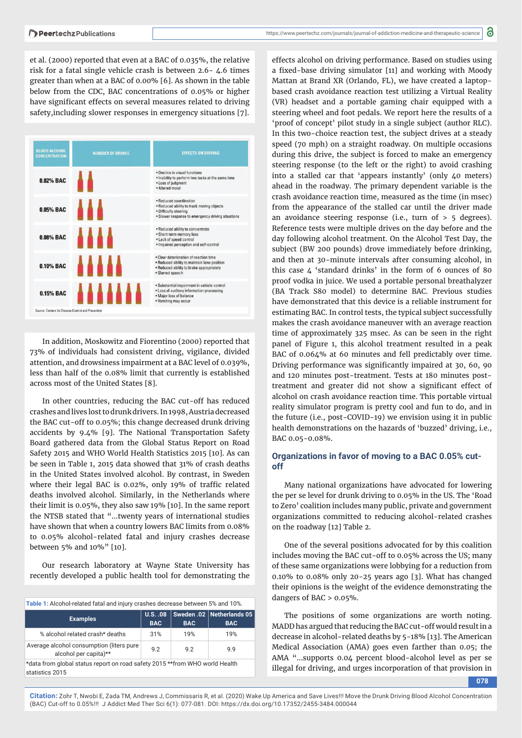et al. (2000) reported that even at a BAC of 0.035%, the relative risk for a fatal single vehicle crash is between 2.6- 4.6 times greater than when at a BAC of 0.00% [6]. As shown in the table below from the CDC, BAC concentrations of 0.05% or higher have significant effects on several measures related to driving safety,including slower responses in emergency situations [7].



In addition, Moskowitz and Fiorentino (2000) reported that 73% of individuals had consistent driving, vigilance, divided attention, and drowsiness impairment at a BAC level of 0.039%, less than half of the 0.08% limit that currently is established across most of the United States [8].

In other countries, reducing the BAC cut-off has reduced crashes and lives lost to drunk drivers. In 1998, Austria decreased the BAC cut-off to 0.05%; this change decreased drunk driving accidents by 9.4% [9]. The National Transportation Safety Board gathered data from the Global Status Report on Road Safety 2015 and WHO World Health Statistics 2015 [10]. As can be seen in Table 1, 2015 data showed that 31% of crash deaths in the United States involved alcohol. By contrast, in Sweden where their legal BAC is  $0.02\%$ , only 19% of traffic related deaths involved alcohol. Similarly, in the Netherlands where their limit is 0.05%, they also saw 19% [10]. In the same report the NTSB stated that "...twenty years of international studies have shown that when a country lowers BAC limits from 0.08% to 0.05% alcohol-related fatal and injury crashes decrease between 5% and 10%" [10].

Our research laboratory at Wayne State University has recently developed a public health tool for demonstrating the

| Table 1: Alcohol-related fatal and injury crashes decrease between 5% and 10%. |                               |            |                                           |  |
|--------------------------------------------------------------------------------|-------------------------------|------------|-------------------------------------------|--|
| <b>Examples</b>                                                                | <b>U.S. .08</b><br><b>BAC</b> | <b>BAC</b> | Sweden .02   Netherlands 05<br><b>BAC</b> |  |
| % alcohol related crash* deaths                                                | 31%                           | 19%        | 19%                                       |  |
| Average alcohol consumption (liters pure<br>alcohol per capita)**              | 92                            | 9.2        | 99                                        |  |
| *data from global status report on road safety 2015 ** from WHO world Health   |                               |            |                                           |  |

statistics 2015

effects alcohol on driving performance. Based on studies using a fixed-base driving simulator [11] and working with Moody Mattan at Brand XR (Orlando, FL), we have created a laptopbased crash avoidance reaction test utilizing a Virtual Reality (VR) headset and a portable gaming chair equipped with a steering wheel and foot pedals. We report here the results of a 'proof of concept' pilot study in a single subject (author RLC). In this two-choice reaction test, the subject drives at a steady speed (70 mph) on a straight roadway. On multiple occasions during this drive, the subject is forced to make an emergency steering response (to the left or the right) to avoid crashing into a stalled car that 'appears instantly' (only 40 meters) ahead in the roadway. The primary dependent variable is the crash avoidance reaction time, measured as the time (in msec) from the appearance of the stalled car until the driver made an avoidance steering response (i.e., turn of > 5 degrees). Reference tests were multiple drives on the day before and the day following alcohol treatment. On the Alcohol Test Day, the subject (BW 200 pounds) drove immediately before drinking, and then at 30-minute intervals after consuming alcohol, in this case 4 'standard drinks' in the form of 6 ounces of 80 proof vodka in juice. We used a portable personal breathalyzer (BA Track S80 model) to determine BAC. Previous studies have demonstrated that this device is a reliable instrument for estimating BAC. In control tests, the typical subject successfully makes the crash avoidance maneuver with an average reaction time of approximately 325 msec. As can be seen in the right panel of Figure 1, this alcohol treatment resulted in a peak BAC of 0.064% at 60 minutes and fell predictably over time. Driving performance was significantly impaired at 30, 60, 90 and 120 minutes post-treatment. Tests at 180 minutes posttreatment and greater did not show a significant effect of alcohol on crash avoidance reaction time. This portable virtual reality simulator program is pretty cool and fun to do, and in the future (i.e., post-COVID-19) we envision using it in public health demonstrations on the hazards of 'buzzed' driving, i.e., BAC 0.05-0.08%.

#### **Organizations in favor of moving to a BAC 0.05% cutoff**

Many national organizations have advocated for lowering the per se level for drunk driving to 0.05% in the US. The 'Road to Zero' coalition includes many public, private and government organizations committed to reducing alcohol-related crashes on the roadway [12] Table 2.

One of the several positions advocated for by this coalition includes moving the BAC cut-off to 0.05% across the US; many of these same organizations were lobbying for a reduction from 0.10% to 0.08% only 20-25 years ago [3]. What has changed their opinions is the weight of the evidence demonstrating the dangers of BAC > 0.05%.

The positions of some organizations are worth noting. MADD has argued that reducing the BAC cut-off would result in a decrease in alcohol-related deaths by 5-18% [13]. The American Medical Association (AMA) goes even farther than 0.05; the AMA "...supports 0.04 percent blood-alcohol level as per se illegal for driving, and urges incorporation of that provision in

**078**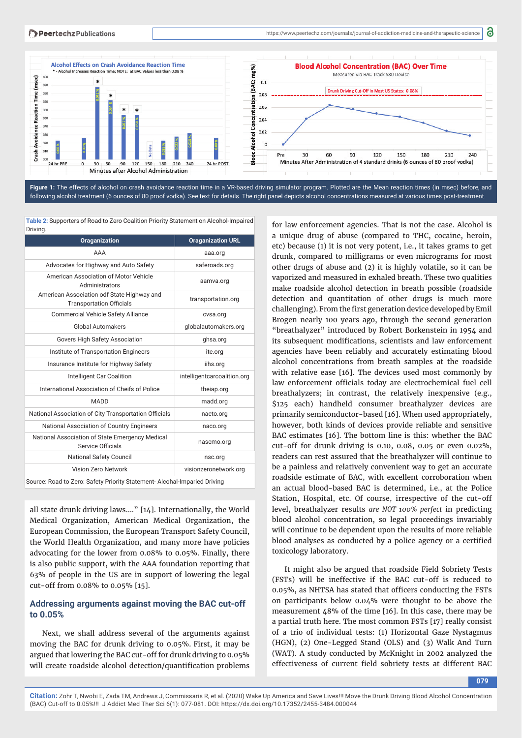

Figure 1: The effects of alcohol on crash avoidance reaction time in a VR-based driving simulator program. Plotted are the Mean reaction times (in msec) before, and following alcohol treatment (6 ounces of 80 proof vodka). See text for details. The right panel depicts alcohol concentrations measured at various times post-treatment.

| Driving.                                                                      |                             |  |  |
|-------------------------------------------------------------------------------|-----------------------------|--|--|
| <b>Oraganization</b>                                                          | <b>Oraganization URL</b>    |  |  |
| AAA                                                                           | aaa.org                     |  |  |
| Advocates for Highway and Auto Safety                                         | saferoads.org               |  |  |
| American Association of Motor Vehicle<br>Administrators                       | aamva.org                   |  |  |
| American Association odf State Highway and<br><b>Transportation Officials</b> | transportation.org          |  |  |
| <b>Commercial Vehicle Safety Alliance</b>                                     | cvsa.org                    |  |  |
| Global Automakers                                                             | globalautomakers.org        |  |  |
| Govers High Safety Association                                                | ghsa.org                    |  |  |
| Institute of Transportation Engineers                                         | ite.org                     |  |  |
| Insurance Institute for Highway Safety                                        | iihs.org                    |  |  |
| Intelligent Car Coalition                                                     | intelligentcarcoalition.org |  |  |
| International Association of Cheifs of Police                                 | theiap.org                  |  |  |
| <b>MADD</b>                                                                   | madd.org                    |  |  |
| National Association of City Transportation Officials                         | nacto.org                   |  |  |
| National Association of Country Engineers                                     | naco.org                    |  |  |
| National Association of State Emergency Medical<br>Service Officials          | nasemo.org                  |  |  |
| <b>National Safety Council</b>                                                | nsc.org                     |  |  |
| Vision Zero Network                                                           | visionzeronetwork.org       |  |  |
| Source: Road to Zero: Safety Priority Statement- Alcohal-Imparied Driving     |                             |  |  |

**Table 2:** Supporters of Road to Zero Coalition Priority Statement on Alcohol-Impaired

all state drunk driving laws…." [14]. Internationally, the World Medical Organization, American Medical Organization, the European Commission, the European Transport Safety Council, the World Health Organization, and many more have policies advocating for the lower from 0.08% to 0.05%. Finally, there is also public support, with the AAA foundation reporting that 63% of people in the US are in support of lowering the legal cut-off from 0.08% to 0.05% [15].

## **Addressing arguments against moving the BAC cut-off to 0.05%**

Next, we shall address several of the arguments against moving the BAC for drunk driving to 0.05%. First, it may be argued that lowering the BAC cut-off for drunk driving to 0.05% will create roadside alcohol detection/quantification problems for law enforcement agencies. That is not the case. Alcohol is a unique drug of abuse (compared to THC, cocaine, heroin, etc) because (1) it is not very potent, i.e., it takes grams to get drunk, compared to milligrams or even micrograms for most other drugs of abuse and (2) it is highly volatile, so it can be vaporized and measured in exhaled breath. These two qualities make roadside alcohol detection in breath possible (roadside detection and quantitation of other drugs is much more challenging). From the first generation device developed by Emil Brogen nearly 100 years ago, through the second generation "breathalyzer" introduced by Robert Borkenstein in 1954 and its subsequent modifications, scientists and law enforcement agencies have been reliably and accurately estimating blood alcohol concentrations from breath samples at the roadside with relative ease [16]. The devices used most commonly by law enforcement officials today are electrochemical fuel cell breathalyzers; in contrast, the relatively inexpensive (e.g., \$125 each) handheld consumer breathalyzer devices are primarily semiconductor-based [16]. When used appropriately, however, both kinds of devices provide reliable and sensitive BAC estimates [16]. The bottom line is this: whether the BAC cut-off for drunk driving is 0.10, 0.08, 0.05 or even 0.02%, readers can rest assured that the breathalyzer will continue to be a painless and relatively convenient way to get an accurate roadside estimate of BAC, with excellent corroboration when an actual blood-based BAC is determined, i.e., at the Police Station, Hospital, etc. Of course, irrespective of the cut-off level, breathalyzer results *are NOT 100% perfect* in predicting blood alcohol concentration, so legal proceedings invariably will continue to be dependent upon the results of more reliable blood analyses as conducted by a police agency or a certified toxicology laboratory.

It might also be argued that roadside Field Sobriety Tests (FSTs) will be ineffective if the BAC cut-off is reduced to 0.05%, as NHTSA has stated that officers conducting the FSTs on participants below 0.04% were thought to be above the measurement 48% of the time [16]. In this case, there may be a partial truth here. The most common FSTs [17] really consist of a trio of individual tests: (1) Horizontal Gaze Nystagmus (HGN), (2) One-Legged Stand (OLS) and (3) Walk And Turn (WAT). A study conducted by McKnight in 2002 analyzed the effectiveness of current field sobriety tests at different BAC

**079**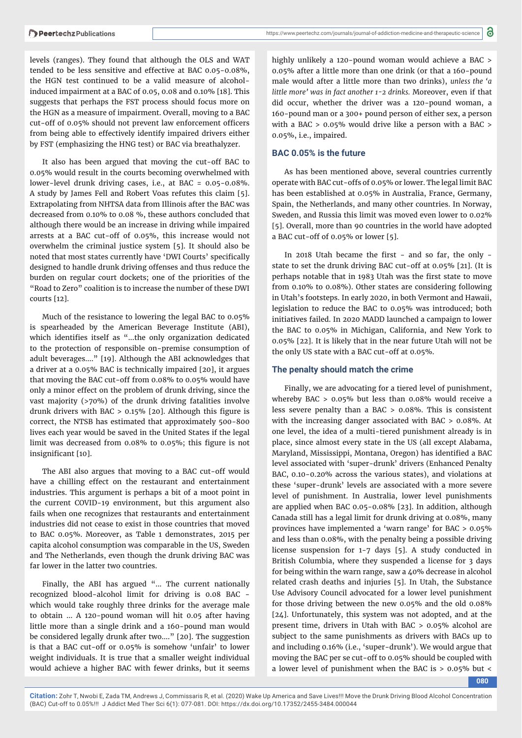levels (ranges). They found that although the OLS and WAT tended to be less sensitive and effective at BAC 0.05-0.08%, the HGN test continued to be a valid measure of alcoholinduced impairment at a BAC of 0.05, 0.08 and 0.10% [18]. This suggests that perhaps the FST process should focus more on the HGN as a measure of impairment. Overall, moving to a BAC cut-off of 0.05% should not prevent law enforcement officers from being able to effectively identify impaired drivers either by FST (emphasizing the HNG test) or BAC via breathalyzer.

It also has been argued that moving the cut-off BAC to 0.05% would result in the courts becoming overwhelmed with lower-level drunk driving cases, i.e., at BAC = 0.05-0.08%. A study by James Fell and Robert Voas refutes this claim [5]. Extrapolating from NHTSA data from Illinois after the BAC was decreased from 0.10% to 0.08 %, these authors concluded that although there would be an increase in driving while impaired arrests at a BAC cut-off of 0.05%, this increase would not overwhelm the criminal justice system [5]. It should also be noted that most states currently have 'DWI Courts' specifically designed to handle drunk driving offenses and thus reduce the burden on regular court dockets; one of the priorities of the "Road to Zero" coalition is to increase the number of these DWI courts [12].

Much of the resistance to lowering the legal BAC to 0.05% is spearheaded by the American Beverage Institute (ABI), which identifies itself as "...the only organization dedicated to the protection of responsible on-premise consumption of adult beverages…." [19]. Although the ABI acknowledges that a driver at a 0.05% BAC is technically impaired [20], it argues that moving the BAC cut-off from 0.08% to 0.05% would have only a minor effect on the problem of drunk driving, since the vast majority (>70%) of the drunk driving fatalities involve drunk drivers with BAC  $> 0.15\%$  [20]. Although this figure is correct, the NTSB has estimated that approximately 500-800 lives each year would be saved in the United States if the legal limit was decreased from  $0.08\%$  to  $0.05\%$ ; this figure is not insignificant [10].

The ABI also argues that moving to a BAC cut-off would have a chilling effect on the restaurant and entertainment industries. This argument is perhaps a bit of a moot point in the current COVID-19 environment, but this argument also fails when one recognizes that restaurants and entertainment industries did not cease to exist in those countries that moved to BAC 0.05%. Moreover, as Table 1 demonstrates, 2015 per capita alcohol consumption was comparable in the US, Sweden and The Netherlands, even though the drunk driving BAC was far lower in the latter two countries.

Finally, the ABI has argued "... The current nationally recognized blood-alcohol limit for driving is 0.08 BAC which would take roughly three drinks for the average male to obtain … A 120-pound woman will hit 0.05 after having little more than a single drink and a 160-pound man would be considered legally drunk after two…." [20]. The suggestion is that a BAC cut-off or 0.05% is somehow 'unfair' to lower weight individuals. It is true that a smaller weight individual would achieve a higher BAC with fewer drinks, but it seems

highly unlikely a 120-pound woman would achieve a BAC > 0.05% after a little more than one drink (or that a 160-pound male would after a little more than two drinks), *unless the 'a little more' was in fact another 1-2 drinks.* Moreover, even if that did occur, whether the driver was a 120-pound woman, a 160-pound man or a 300+ pound person of either sex, a person with a BAC > 0.05% would drive like a person with a BAC > 0.05%, i.e., impaired.

#### **BAC 0.05% is the future**

As has been mentioned above, several countries currently operate with BAC cut-offs of 0.05% or lower. The legal limit BAC has been established at 0.05% in Australia, France, Germany, Spain, the Netherlands, and many other countries. In Norway, Sweden, and Russia this limit was moved even lower to 0.02% [5]. Overall, more than 90 countries in the world have adopted a BAC cut-off of 0.05% or lower [5].

In 2018 Utah became the first - and so far, the only state to set the drunk driving BAC cut-off at 0.05% [21]. (It is perhaps notable that in 1983 Utah was the first state to move from 0.10% to 0.08%). Other states are considering following in Utah's footsteps. In early 2020, in both Vermont and Hawaii, legislation to reduce the BAC to 0.05% was introduced; both initiatives failed. In 2020 MADD launched a campaign to lower the BAC to 0.05% in Michigan, California, and New York to 0.05% [22]. It is likely that in the near future Utah will not be the only US state with a BAC cut-off at 0.05%.

#### **The penalty should match the crime**

Finally, we are advocating for a tiered level of punishment, whereby BAC > 0.05% but less than 0.08% would receive a less severe penalty than a BAC > 0.08%. This is consistent with the increasing danger associated with BAC > 0.08%. At one level, the idea of a multi-tiered punishment already is in place, since almost every state in the US (all except Alabama, Maryland, Mississippi, Montana, Oregon) has identified a BAC level associated with 'super-drunk' drivers (Enhanced Penalty BAC, 0.10-0.20% across the various states), and violations at these 'super-drunk' levels are associated with a more severe level of punishment. In Australia, lower level punishments are applied when BAC 0.05-0.08% [23]. In addition, although Canada still has a legal limit for drunk driving at 0.08%, many provinces have implemented a 'warn range' for BAC > 0.05% and less than 0.08%, with the penalty being a possible driving license suspension for 1-7 days [5]. A study conducted in British Columbia, where they suspended a license for 3 days for being within the warn range, saw a 40% decrease in alcohol related crash deaths and injuries [5]. In Utah, the Substance Use Advisory Council advocated for a lower level punishment for those driving between the new 0.05% and the old 0.08% [24]. Unfortunately, this system was not adopted, and at the present time, drivers in Utah with BAC > 0.05% alcohol are subject to the same punishments as drivers with BACs up to and including 0.16% (i.e., 'super-drunk'). We would argue that moving the BAC per se cut-off to 0.05% should be coupled with a lower level of punishment when the BAC is > 0.05% but <

**080**